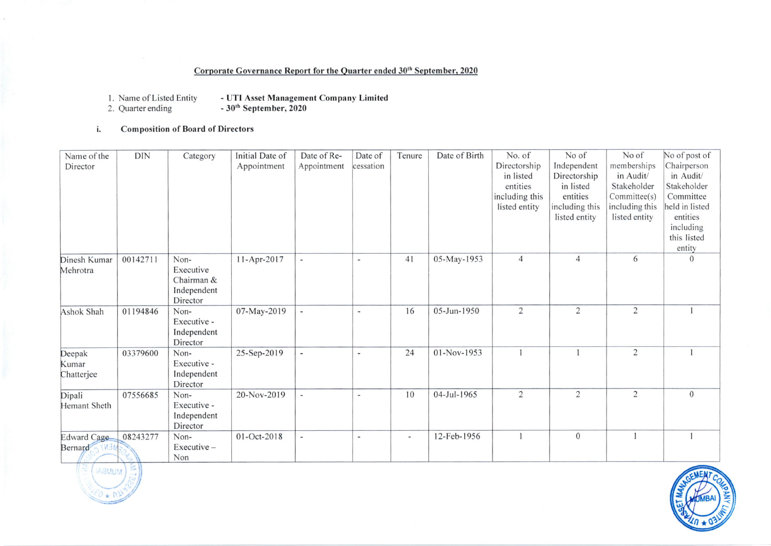## Corporate Governance Report for the Quarter ended 30<sup>th</sup> September, 2020

- UTI Asset Management Company Limited<br>- 30<sup>th</sup> September, 2020 1. Name of Listed Entity
- 2. Quarter ending
- **Composition of Board of Directors** i.

| Name of the            | <b>DIN</b> | Category         | Initial Date of | Date of Re-              | Date of                  | Tenure         | Date of Birth | No. of         | No of            | No of          | No of post of            |
|------------------------|------------|------------------|-----------------|--------------------------|--------------------------|----------------|---------------|----------------|------------------|----------------|--------------------------|
| Director               |            |                  | Appointment     | Appointment              | cessation                |                |               | Directorship   | Independent      | memberships    | Chairperson              |
|                        |            |                  |                 |                          |                          |                |               | in listed      | Directorship     | in Audit/      | in Audit/                |
|                        |            |                  |                 |                          |                          |                |               | entities       | in listed        | Stakeholder    | Stakeholder              |
|                        |            |                  |                 |                          |                          |                |               | including this | entities         | Committee(s)   | Committee                |
|                        |            |                  |                 |                          |                          |                |               | listed entity  | including this   | including this | held in listed           |
|                        |            |                  |                 |                          |                          |                |               |                | listed entity    | listed entity  | entities                 |
|                        |            |                  |                 |                          |                          |                |               |                |                  |                | including<br>this listed |
|                        |            |                  |                 |                          |                          |                |               |                |                  |                | entity                   |
| Dinesh Kumar           | 00142711   | Non-             | 11-Apr-2017     | $\blacksquare$           | $\blacksquare$           | 41             | 05-May-1953   | $\overline{4}$ | $\overline{4}$   | 6              | $\theta$                 |
| Mehrotra               |            | Executive        |                 |                          |                          |                |               |                |                  |                |                          |
|                        |            | Chairman &       |                 |                          |                          |                |               |                |                  |                |                          |
|                        |            | Independent      |                 |                          |                          |                |               |                |                  |                |                          |
|                        |            | Director         |                 |                          |                          |                |               |                |                  |                |                          |
| Ashok Shah             | 01194846   | Non-             | 07-May-2019     | $\blacksquare$           | $\frac{1}{2}$            | 16             | 05-Jun-1950   | $\sqrt{2}$     | $\overline{2}$   | $\sqrt{2}$     |                          |
|                        |            | Executive -      |                 |                          |                          |                |               |                |                  |                |                          |
|                        |            | Independent      |                 |                          |                          |                |               |                |                  |                |                          |
|                        |            | Director         |                 |                          |                          |                |               |                |                  |                |                          |
| Deepak                 | 03379600   | Non-             | 25-Sep-2019     | $\overline{\phantom{a}}$ | $\overline{\phantom{a}}$ | 24             | 01-Nov-1953   |                |                  | $\overline{2}$ |                          |
| Kumar                  |            | Executive -      |                 |                          |                          |                |               |                |                  |                |                          |
| Chatterjee             |            | Independent      |                 |                          |                          |                |               |                |                  |                |                          |
|                        |            | Director<br>Non- | 20-Nov-2019     |                          |                          | 10             | 04-Jul-1965   | $\sqrt{2}$     | $\overline{2}$   | $\sqrt{2}$     | $\mathbf{0}$             |
| Dipali<br>Hemant Sheth | 07556685   | Executive -      |                 | $\blacksquare$           | $\overline{\phantom{a}}$ |                |               |                |                  |                |                          |
|                        |            | Independent      |                 |                          |                          |                |               |                |                  |                |                          |
|                        |            | Director         |                 |                          |                          |                |               |                |                  |                |                          |
| Edward Cage            | 08243277   | Non-             | 01-Oct-2018     | $\overline{\phantom{a}}$ | $\overline{\phantom{a}}$ | $\blacksquare$ | 12-Feb-1956   |                | $\boldsymbol{0}$ |                |                          |
| Bernard                |            | Executive-       |                 |                          |                          |                |               |                |                  |                |                          |
|                        |            | Non              |                 |                          |                          |                |               |                |                  |                |                          |



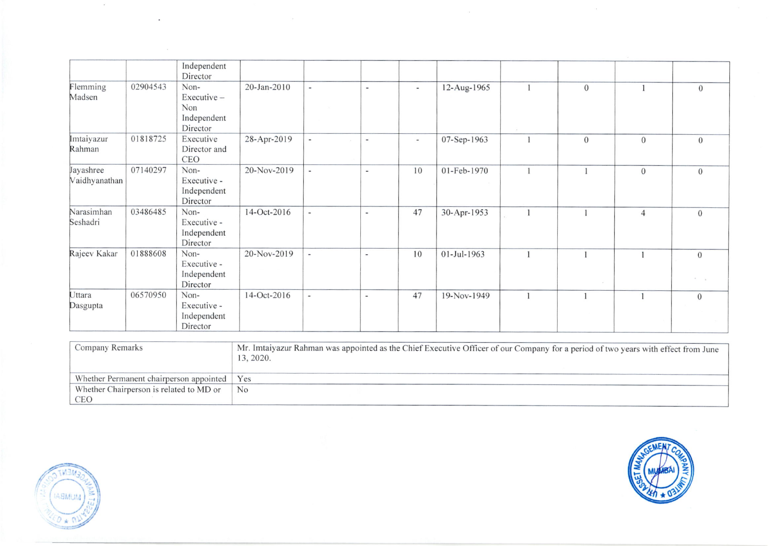|                            |          | Independent<br>Director                              |             |                          |                          |                          |             |      |                  |                |                                                |
|----------------------------|----------|------------------------------------------------------|-------------|--------------------------|--------------------------|--------------------------|-------------|------|------------------|----------------|------------------------------------------------|
| Flemming<br>Madsen         | 02904543 | Non-<br>Executive-<br>Non<br>Independent<br>Director | 20-Jan-2010 | $\overline{\phantom{a}}$ | $\overline{\phantom{a}}$ | $\overline{\phantom{a}}$ | 12-Aug-1965 | $-9$ | $\boldsymbol{0}$ |                | $\mathbf{0}$                                   |
| Imtaiyazur<br>Rahman       | 01818725 | Executive<br>Director and<br>CEO                     | 28-Apr-2019 | $\overline{\phantom{a}}$ | $\overline{\phantom{m}}$ | $\overline{\phantom{a}}$ | 07-Sep-1963 |      | $\mathbf{0}$     | $\overline{0}$ | $\overline{0}$                                 |
| Jayashree<br>Vaidhyanathan | 07140297 | Non-<br>Executive -<br>Independent<br>Director       | 20-Nov-2019 | $\overline{\phantom{a}}$ | $\overline{\phantom{a}}$ | 10                       | 01-Feb-1970 |      |                  | $\mathbf{0}$   | $\overline{0}$                                 |
| Narasimhan<br>Seshadri     | 03486485 | Non-<br>Executive -<br>Independent<br>Director       | 14-Oct-2016 | $\overline{\phantom{a}}$ | $\overline{\phantom{a}}$ | 47                       | 30-Apr-1953 |      |                  | $\overline{4}$ | $\mathbf{0}$                                   |
| Rajeev Kakar               | 01888608 | Non-<br>Executive -<br>Independent<br>Director       | 20-Nov-2019 | ÷                        | $\sim$                   | 10                       | 01-Jul-1963 |      |                  |                | $\overline{0}$<br>$\mathcal{N} = -\mathcal{N}$ |
| Uttara<br>Dasgupta         | 06570950 | Non-<br>Executive -<br>Independent<br>Director       | 14-Oct-2016 | $\omega$                 | $\overline{a}$           | 47                       | 19-Nov-1949 |      |                  |                | $\theta$                                       |

| Company Remarks                         | Mr. Imtaiyazur Rahman was appointed as the Chief Executive Officer of our Company for a period of two years with effect from June<br>13, 2020. |
|-----------------------------------------|------------------------------------------------------------------------------------------------------------------------------------------------|
| Whether Permanent chairperson appointed | Yes                                                                                                                                            |
| Whether Chairperson is related to MD or | N <sub>o</sub>                                                                                                                                 |
| CEO                                     |                                                                                                                                                |



 $\sim$   $\sim$ 

 $\sim$ 



 $\sim$   $\sim$